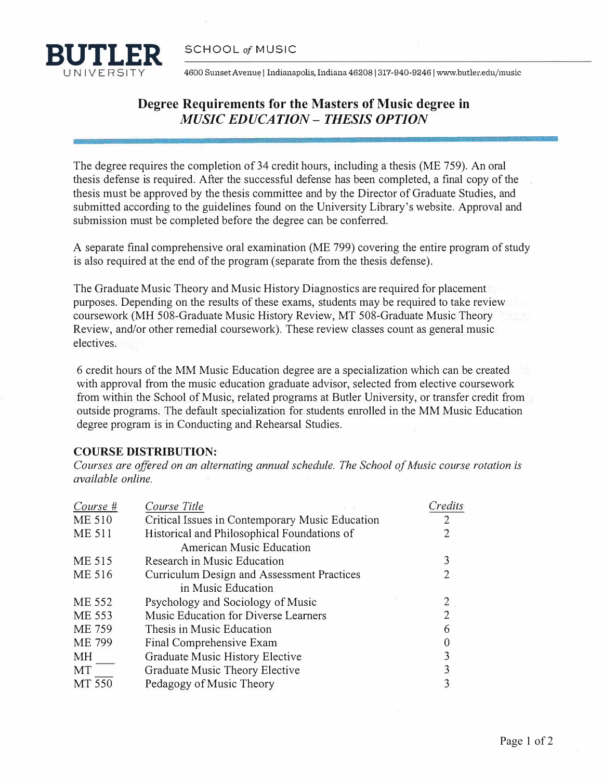

4600 Sunset Avenue | Indianapolis, Indiana 46208 | 317-940-9246 | www.butler.edu/music

## **Degree Requirements for the Masters of Music degree in**  *MUSIC EDUCATION* **-** *THESIS OPTION*

The degree requires the completion of 34 credit hours, including a thesis (ME 759). An oral thesis defense is required. After the successful defense has been completed, a final copy of the thesis must be approved by the thesis committee and by the Director of Graduate Studies, and submitted according to the guidelines found on the University Library's website. Approval and submission must be completed before the degree can be conferred.

A separate final comprehensive oral examination (ME 799) covering the entire program of study is also required at the end of the program (separate from the thesis defense).

The Graduate Music Theory and Music History Diagnostics are required for placement purposes. Depending on the results of these exams, students may be required to take review coursework (MH 508-Graduate Music History Review, MT 508-Graduate Music Theory Review, and/or other remedial coursework). These review classes count as general music electives.

6 credit hours of the MM Music Education degree are a specialization which can be created with approval from the music education graduate advisor, selected from elective coursework from within the School of Music, related programs at Butler University, or transfer credit from outside programs. The default specialization for students enrolled in the MM Music Education degree program is in Conducting and Rehearsal Studies.

## **COURSE DISTRIBUTION:**

Courses are offered on an alternating annual schedule. The School of Music course rotation is *available [online](https://www.butler.edu/music/current-students/graduate-handbook).* 

| Course #      | Course Title                                    | Credits |
|---------------|-------------------------------------------------|---------|
| <b>ME 510</b> | Critical Issues in Contemporary Music Education |         |
| <b>ME 511</b> | Historical and Philosophical Foundations of     |         |
|               | <b>American Music Education</b>                 |         |
| ME 515        | Research in Music Education                     | 3       |
| ME 516        | Curriculum Design and Assessment Practices      |         |
|               | in Music Education                              |         |
| ME 552        | Psychology and Sociology of Music               |         |
| ME 553        | Music Education for Diverse Learners            | 2       |
| ME 759        | Thesis in Music Education                       | 6       |
| ME 799        | Final Comprehensive Exam                        |         |
| МH            | Graduate Music History Elective                 |         |
| MT            | Graduate Music Theory Elective                  |         |
| MT 550        | Pedagogy of Music Theory                        |         |